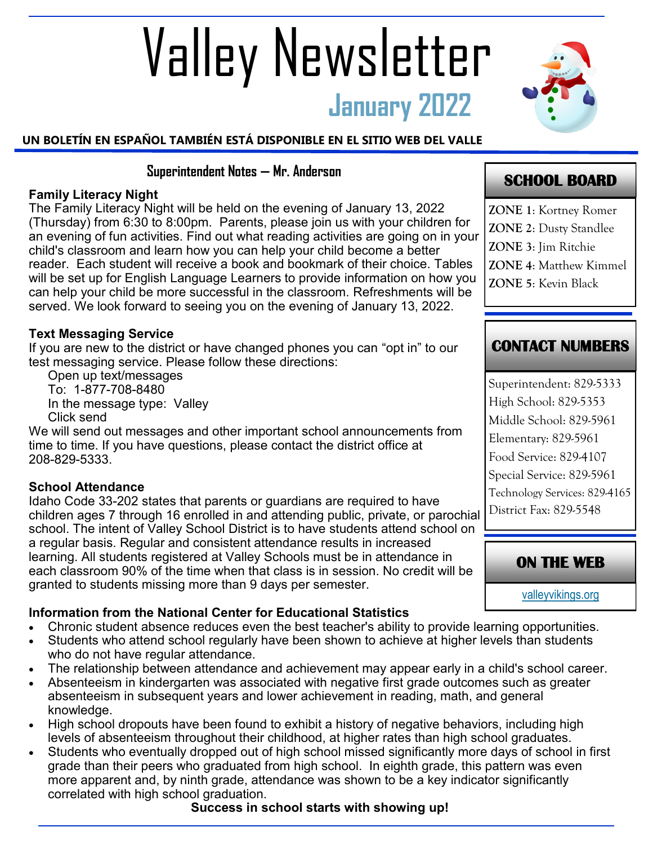# **January 2022** Valley Newsletter

## **UN BOLETÍN EN ESPAÑOL TAMBIÉN ESTÁ DISPONIBLE EN EL SITIO WEB DEL VALLE**

## **Superintendent Notes — Mr. Anderson**

#### **Family Literacy Night**

The Family Literacy Night will be held on the evening of January 13, 2022 (Thursday) from 6:30 to 8:00pm. Parents, please join us with your children for an evening of fun activities. Find out what reading activities are going on in your child's classroom and learn how you can help your child become a better reader. Each student will receive a book and bookmark of their choice. Tables will be set up for English Language Learners to provide information on how you can help your child be more successful in the classroom. Refreshments will be served. We look forward to seeing you on the evening of January 13, 2022.

#### **Text Messaging Service**

If you are new to the district or have changed phones you can "opt in" to our test messaging service. Please follow these directions:

Open up text/messages To: 1-877-708-8480 In the message type: Valley Click send

We will send out messages and other important school announcements from time to time. If you have questions, please contact the district office at 208-829-5333.

#### **School Attendance**

Idaho Code 33-202 states that parents or guardians are required to have children ages 7 through 16 enrolled in and attending public, private, or parochial school. The intent of Valley School District is to have students attend school on a regular basis. Regular and consistent attendance results in increased learning. All students registered at Valley Schools must be in attendance in each classroom 90% of the time when that class is in session. No credit will be granted to students missing more than 9 days per semester.

## **Information from the National Center for Educational Statistics**

- Chronic student absence reduces even the best teacher's ability to provide learning opportunities.
- Students who attend school regularly have been shown to achieve at higher levels than students who do not have regular attendance.
- The relationship between attendance and achievement may appear early in a child's school career.
- Absenteeism in kindergarten was associated with negative first grade outcomes such as greater absenteeism in subsequent years and lower achievement in reading, math, and general knowledge.
- High school dropouts have been found to exhibit a history of negative behaviors, including high levels of absenteeism throughout their childhood, at higher rates than high school graduates.
- Students who eventually dropped out of high school missed significantly more days of school in first grade than their peers who graduated from high school. In eighth grade, this pattern was even more apparent and, by ninth grade, attendance was shown to be a key indicator significantly correlated with high school graduation.

#### **Success in school starts with showing up!**

**SCHOOL BOARD** 

- **ZONE 1**: Kortney Romer **ZONE 2**: Dusty Standlee
- **ZONE 3**: Jim Ritchie
- **ZONE 4**: Matthew Kimmel
- **ZONE 5**: Kevin Black

## **CONTACT NUMBERS**

Superintendent: 829-5333 High School: 829-5353 Middle School: 829-5961 Elementary: 829-5961 Food Service: 829-4107 Special Service: 829-5961 Technology Services: 829-4165 District Fax: 829-5548



[valleyvikings.org](http://www.valleyvikings.org/)

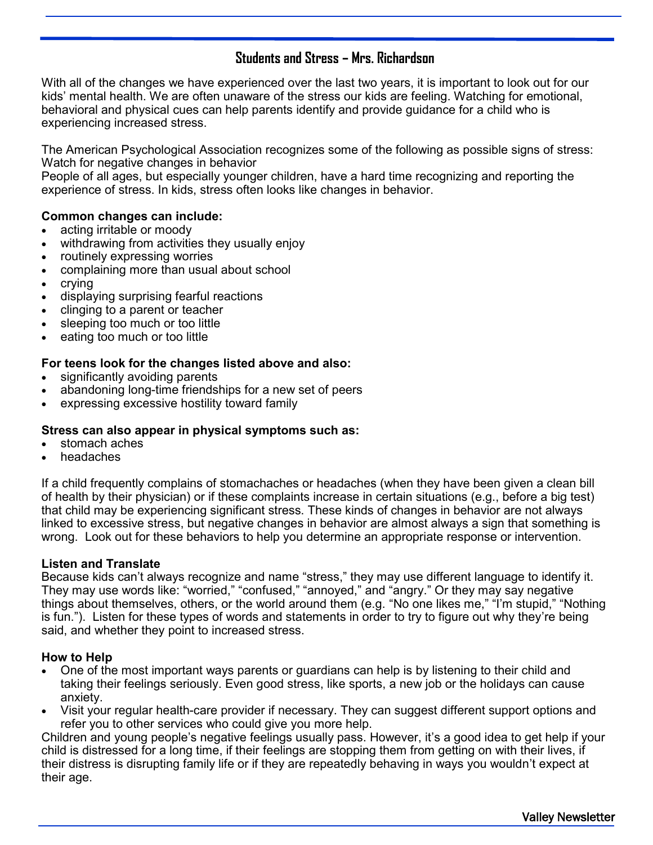## **Students and Stress – Mrs. Richardson**

With all of the changes we have experienced over the last two years, it is important to look out for our kids' mental health. We are often unaware of the stress our kids are feeling. Watching for emotional, behavioral and physical cues can help parents identify and provide guidance for a child who is experiencing increased stress.

The American Psychological Association recognizes some of the following as possible signs of stress: Watch for negative changes in behavior

People of all ages, but especially younger children, have a hard time recognizing and reporting the experience of stress. In kids, stress often looks like changes in behavior.

#### **Common changes can include:**

- acting irritable or moody
- withdrawing from activities they usually enjoy
- routinely expressing worries
- complaining more than usual about school
- crying
- displaying surprising fearful reactions
- clinging to a parent or teacher
- sleeping too much or too little
- eating too much or too little

#### **For teens look for the changes listed above and also:**

- significantly avoiding parents
- abandoning long-time friendships for a new set of peers
- expressing excessive hostility toward family

#### **Stress can also appear in physical symptoms such as:**

- stomach aches
- headaches

If a child frequently complains of stomachaches or headaches (when they have been given a clean bill of health by their physician) or if these complaints increase in certain situations (e.g., before a big test) that child may be experiencing significant stress. These kinds of changes in behavior are not always linked to excessive stress, but negative changes in behavior are almost always a sign that something is wrong. Look out for these behaviors to help you determine an appropriate response or intervention.

#### **Listen and Translate**

Because kids can't always recognize and name "stress," they may use different language to identify it. They may use words like: "worried," "confused," "annoyed," and "angry." Or they may say negative things about themselves, others, or the world around them (e.g. "No one likes me," "I'm stupid," "Nothing is fun."). Listen for these types of words and statements in order to try to figure out why they're being said, and whether they point to increased stress.

#### **How to Help**

- One of the most important ways parents or guardians can help is by listening to their child and taking their feelings seriously. Even good stress, like sports, a new job or the holidays can cause anxiety.
- Visit your regular health-care provider if necessary. They can suggest different support options and refer you to other services who could give you more help.

Children and young people's negative feelings usually pass. However, it's a good idea to get help if your child is distressed for a long time, if their feelings are stopping them from getting on with their lives, if their distress is disrupting family life or if they are repeatedly behaving in ways you wouldn't expect at their age.